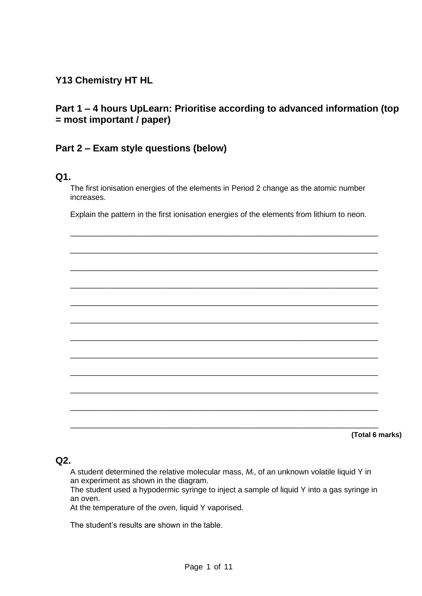# **Y13 Chemistry HT HL**

# **Part 1 – 4 hours UpLearn: Prioritise according to advanced information (top = most important / paper)**

## **Part 2 – Exam style questions (below)**

### **Q1.**

The first ionisation energies of the elements in Period 2 change as the atomic number increases.

Explain the pattern in the first ionisation energies of the elements from lithium to neon.

\_\_\_\_\_\_\_\_\_\_\_\_\_\_\_\_\_\_\_\_\_\_\_\_\_\_\_\_\_\_\_\_\_\_\_\_\_\_\_\_\_\_\_\_\_\_\_\_\_\_\_\_\_\_\_\_\_\_\_\_\_\_\_\_\_\_\_\_\_\_\_

\_\_\_\_\_\_\_\_\_\_\_\_\_\_\_\_\_\_\_\_\_\_\_\_\_\_\_\_\_\_\_\_\_\_\_\_\_\_\_\_\_\_\_\_\_\_\_\_\_\_\_\_\_\_\_\_\_\_\_\_\_\_\_\_\_\_\_\_\_\_\_ \_\_\_\_\_\_\_\_\_\_\_\_\_\_\_\_\_\_\_\_\_\_\_\_\_\_\_\_\_\_\_\_\_\_\_\_\_\_\_\_\_\_\_\_\_\_\_\_\_\_\_\_\_\_\_\_\_\_\_\_\_\_\_\_\_\_\_\_\_\_\_ \_\_\_\_\_\_\_\_\_\_\_\_\_\_\_\_\_\_\_\_\_\_\_\_\_\_\_\_\_\_\_\_\_\_\_\_\_\_\_\_\_\_\_\_\_\_\_\_\_\_\_\_\_\_\_\_\_\_\_\_\_\_\_\_\_\_\_\_\_\_\_ \_\_\_\_\_\_\_\_\_\_\_\_\_\_\_\_\_\_\_\_\_\_\_\_\_\_\_\_\_\_\_\_\_\_\_\_\_\_\_\_\_\_\_\_\_\_\_\_\_\_\_\_\_\_\_\_\_\_\_\_\_\_\_\_\_\_\_\_\_\_\_ \_\_\_\_\_\_\_\_\_\_\_\_\_\_\_\_\_\_\_\_\_\_\_\_\_\_\_\_\_\_\_\_\_\_\_\_\_\_\_\_\_\_\_\_\_\_\_\_\_\_\_\_\_\_\_\_\_\_\_\_\_\_\_\_\_\_\_\_\_\_\_ \_\_\_\_\_\_\_\_\_\_\_\_\_\_\_\_\_\_\_\_\_\_\_\_\_\_\_\_\_\_\_\_\_\_\_\_\_\_\_\_\_\_\_\_\_\_\_\_\_\_\_\_\_\_\_\_\_\_\_\_\_\_\_\_\_\_\_\_\_\_\_ \_\_\_\_\_\_\_\_\_\_\_\_\_\_\_\_\_\_\_\_\_\_\_\_\_\_\_\_\_\_\_\_\_\_\_\_\_\_\_\_\_\_\_\_\_\_\_\_\_\_\_\_\_\_\_\_\_\_\_\_\_\_\_\_\_\_\_\_\_\_\_ \_\_\_\_\_\_\_\_\_\_\_\_\_\_\_\_\_\_\_\_\_\_\_\_\_\_\_\_\_\_\_\_\_\_\_\_\_\_\_\_\_\_\_\_\_\_\_\_\_\_\_\_\_\_\_\_\_\_\_\_\_\_\_\_\_\_\_\_\_\_\_ \_\_\_\_\_\_\_\_\_\_\_\_\_\_\_\_\_\_\_\_\_\_\_\_\_\_\_\_\_\_\_\_\_\_\_\_\_\_\_\_\_\_\_\_\_\_\_\_\_\_\_\_\_\_\_\_\_\_\_\_\_\_\_\_\_\_\_\_\_\_\_ \_\_\_\_\_\_\_\_\_\_\_\_\_\_\_\_\_\_\_\_\_\_\_\_\_\_\_\_\_\_\_\_\_\_\_\_\_\_\_\_\_\_\_\_\_\_\_\_\_\_\_\_\_\_\_\_\_\_\_\_\_\_\_\_\_\_\_\_\_\_\_ \_\_\_\_\_\_\_\_\_\_\_\_\_\_\_\_\_\_\_\_\_\_\_\_\_\_\_\_\_\_\_\_\_\_\_\_\_\_\_\_\_\_\_\_\_\_\_\_\_\_\_\_\_\_\_\_\_\_\_\_\_\_\_\_\_\_\_\_\_\_\_

**(Total 6 marks)**

### **Q2.**

A student determined the relative molecular mass, *M*r, of an unknown volatile liquid Y in an experiment as shown in the diagram.

The student used a hypodermic syringe to inject a sample of liquid Y into a gas syringe in an oven.

At the temperature of the oven, liquid Y vaporised.

The student's results are shown in the table.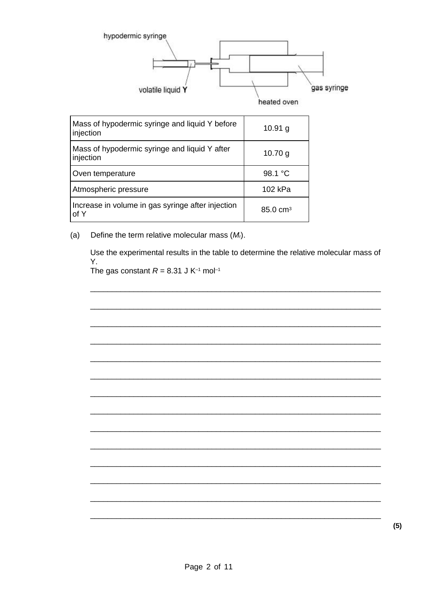

| Mass of hypodermic syringe and liquid Y before<br>injection | $10.91$ g           |
|-------------------------------------------------------------|---------------------|
| Mass of hypodermic syringe and liquid Y after<br>injection  | 10.70 g             |
| Oven temperature                                            | 98.1 °C             |
| Atmospheric pressure                                        | 102 kPa             |
| Increase in volume in gas syringe after injection<br>of Y   | $85.0 \text{ cm}^3$ |

Define the term relative molecular mass  $(M<sub>i</sub>)$ .  $(a)$ 

> Use the experimental results in the table to determine the relative molecular mass of Y.

The gas constant  $R = 8.31$  J K<sup>-1</sup> mol<sup>-1</sup>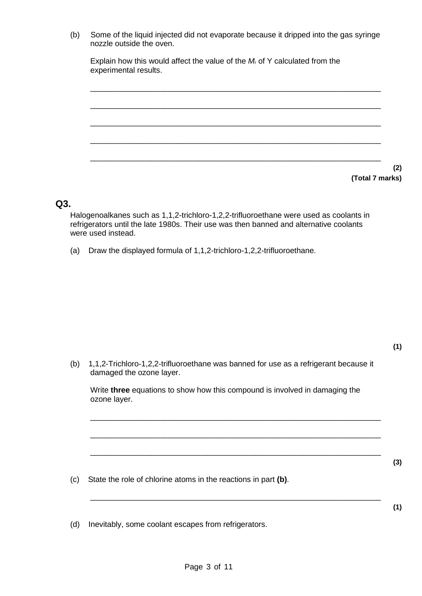(b) Some of the liquid injected did not evaporate because it dripped into the gas syringe nozzle outside the oven.

Explain how this would affect the value of the *M*<sup>r</sup> of Y calculated from the experimental results.



**(2) (Total 7 marks)**

### **Q3.**

Halogenoalkanes such as 1,1,2-trichloro-1,2,2-trifluoroethane were used as coolants in refrigerators until the late 1980s. Their use was then banned and alternative coolants were used instead.

(a) Draw the displayed formula of 1,1,2-trichloro-1,2,2-trifluoroethane.

(b) 1,1,2-Trichloro-1,2,2-trifluoroethane was banned for use as a refrigerant because it damaged the ozone layer.

Write **three** equations to show how this compound is involved in damaging the ozone layer.

\_\_\_\_\_\_\_\_\_\_\_\_\_\_\_\_\_\_\_\_\_\_\_\_\_\_\_\_\_\_\_\_\_\_\_\_\_\_\_\_\_\_\_\_\_\_\_\_\_\_\_\_\_\_\_\_\_\_\_\_\_\_\_\_\_\_\_

\_\_\_\_\_\_\_\_\_\_\_\_\_\_\_\_\_\_\_\_\_\_\_\_\_\_\_\_\_\_\_\_\_\_\_\_\_\_\_\_\_\_\_\_\_\_\_\_\_\_\_\_\_\_\_\_\_\_\_\_\_\_\_\_\_\_\_

\_\_\_\_\_\_\_\_\_\_\_\_\_\_\_\_\_\_\_\_\_\_\_\_\_\_\_\_\_\_\_\_\_\_\_\_\_\_\_\_\_\_\_\_\_\_\_\_\_\_\_\_\_\_\_\_\_\_\_\_\_\_\_\_\_\_\_

\_\_\_\_\_\_\_\_\_\_\_\_\_\_\_\_\_\_\_\_\_\_\_\_\_\_\_\_\_\_\_\_\_\_\_\_\_\_\_\_\_\_\_\_\_\_\_\_\_\_\_\_\_\_\_\_\_\_\_\_\_\_\_\_\_\_\_

- (c) State the role of chlorine atoms in the reactions in part **(b)**.
- (d) Inevitably, some coolant escapes from refrigerators.

**(1)**

**(1)**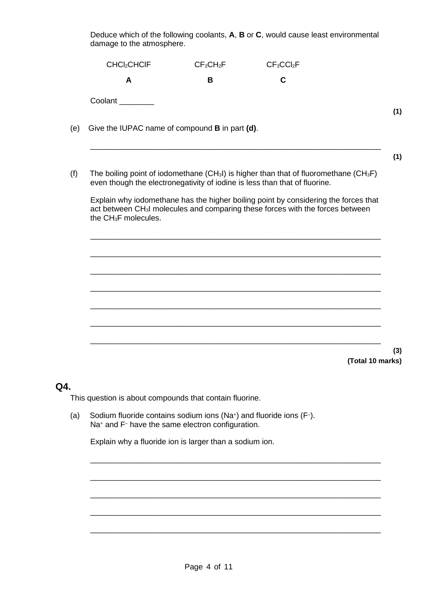Deduce which of the following coolants, **A**, **B** or **C**, would cause least environmental damage to the atmosphere.

| CHCl <sub>2</sub> CHCIF                               | CF <sub>3</sub> CH <sub>2</sub> F | CF <sub>3</sub> CCI <sub>2</sub> F                                                                                                                                                          |  |
|-------------------------------------------------------|-----------------------------------|---------------------------------------------------------------------------------------------------------------------------------------------------------------------------------------------|--|
| A                                                     | B                                 | C                                                                                                                                                                                           |  |
| Coolant                                               |                                   |                                                                                                                                                                                             |  |
| Give the IUPAC name of compound <b>B</b> in part (d). |                                   |                                                                                                                                                                                             |  |
|                                                       |                                   | The boiling point of iodomethane (CH <sub>3</sub> I) is higher than that of fluoromethane (CH <sub>3</sub> F)<br>even though the electronegativity of iodine is less than that of fluorine. |  |
| the CH <sub>3</sub> F molecules.                      |                                   | Explain why iodomethane has the higher boiling point by considering the forces that<br>act between CH <sub>3</sub> I molecules and comparing these forces with the forces between           |  |
|                                                       |                                   |                                                                                                                                                                                             |  |
|                                                       |                                   |                                                                                                                                                                                             |  |
|                                                       |                                   |                                                                                                                                                                                             |  |
|                                                       |                                   |                                                                                                                                                                                             |  |
|                                                       |                                   |                                                                                                                                                                                             |  |
|                                                       |                                   |                                                                                                                                                                                             |  |

This question is about compounds that contain fluorine.

**Q4.**

(a) Sodium fluoride contains sodium ions (Na<sup>+</sup> ) and fluoride ions (F– ). Na<sup>+</sup> and F<sup>-</sup> have the same electron configuration.

Explain why a fluoride ion is larger than a sodium ion.

\_\_\_\_\_\_\_\_\_\_\_\_\_\_\_\_\_\_\_\_\_\_\_\_\_\_\_\_\_\_\_\_\_\_\_\_\_\_\_\_\_\_\_\_\_\_\_\_\_\_\_\_\_\_\_\_\_\_\_\_\_\_\_\_\_\_\_

\_\_\_\_\_\_\_\_\_\_\_\_\_\_\_\_\_\_\_\_\_\_\_\_\_\_\_\_\_\_\_\_\_\_\_\_\_\_\_\_\_\_\_\_\_\_\_\_\_\_\_\_\_\_\_\_\_\_\_\_\_\_\_\_\_\_\_

\_\_\_\_\_\_\_\_\_\_\_\_\_\_\_\_\_\_\_\_\_\_\_\_\_\_\_\_\_\_\_\_\_\_\_\_\_\_\_\_\_\_\_\_\_\_\_\_\_\_\_\_\_\_\_\_\_\_\_\_\_\_\_\_\_\_\_

\_\_\_\_\_\_\_\_\_\_\_\_\_\_\_\_\_\_\_\_\_\_\_\_\_\_\_\_\_\_\_\_\_\_\_\_\_\_\_\_\_\_\_\_\_\_\_\_\_\_\_\_\_\_\_\_\_\_\_\_\_\_\_\_\_\_\_

\_\_\_\_\_\_\_\_\_\_\_\_\_\_\_\_\_\_\_\_\_\_\_\_\_\_\_\_\_\_\_\_\_\_\_\_\_\_\_\_\_\_\_\_\_\_\_\_\_\_\_\_\_\_\_\_\_\_\_\_\_\_\_\_\_\_\_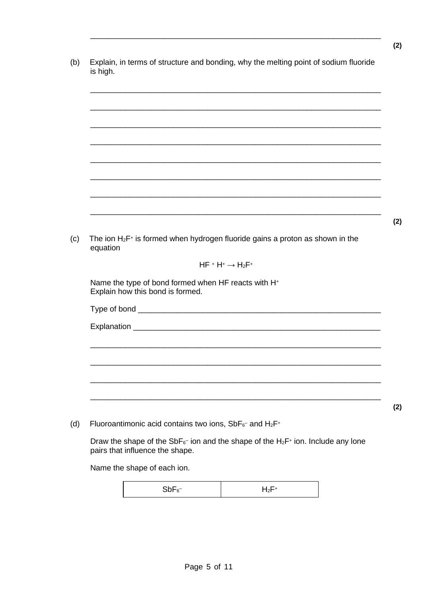| equation                         | The ion $H_2F^+$ is formed when hydrogen fluoride gains a proton as shown in the |
|----------------------------------|----------------------------------------------------------------------------------|
|                                  | $HF + H^+ \rightarrow H_2F^+$                                                    |
| Explain how this bond is formed. | Name the type of bond formed when HF reacts with H+                              |
|                                  |                                                                                  |
|                                  |                                                                                  |
|                                  |                                                                                  |
|                                  |                                                                                  |
|                                  |                                                                                  |
|                                  |                                                                                  |
|                                  |                                                                                  |
|                                  |                                                                                  |
|                                  |                                                                                  |

Name the shape of each ion.

|--|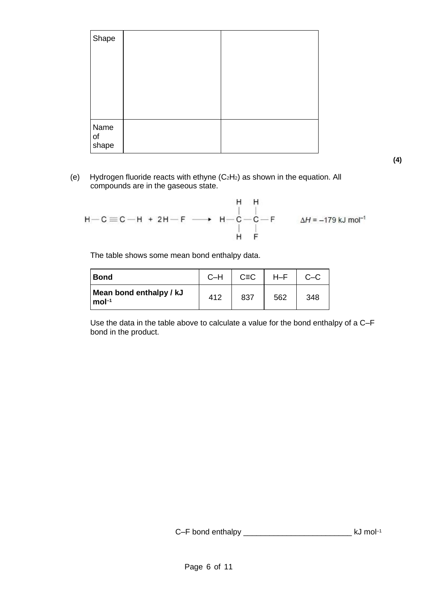| Shape               |  |
|---------------------|--|
| Name<br>of<br>shape |  |

(e) Hydrogen fluoride reacts with ethyne  $(C_2H_2)$  as shown in the equation. All compounds are in the gaseous state.

$$
H - H
$$
\n
$$
H - C \equiv C - H + 2H - F \longrightarrow H - C - C - F
$$
\n
$$
\downarrow H - C
$$
\n
$$
\downarrow H - F
$$
\n
$$
\downarrow H - F
$$
\n
$$
\downarrow H - F
$$
\n
$$
\downarrow H - F
$$

The table shows some mean bond enthalpy data.

| Bond                                   | $C-H$ | $C = C$ | $H-F$ |     |
|----------------------------------------|-------|---------|-------|-----|
| Mean bond enthalpy / kJ<br>$ mol^{-1}$ | 412   | 837     | 562   | 348 |

Use the data in the table above to calculate a value for the bond enthalpy of a C–F bond in the product.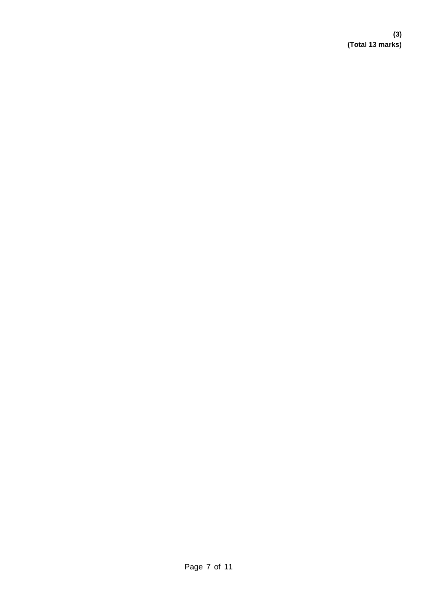**(3) (Total 13 marks)**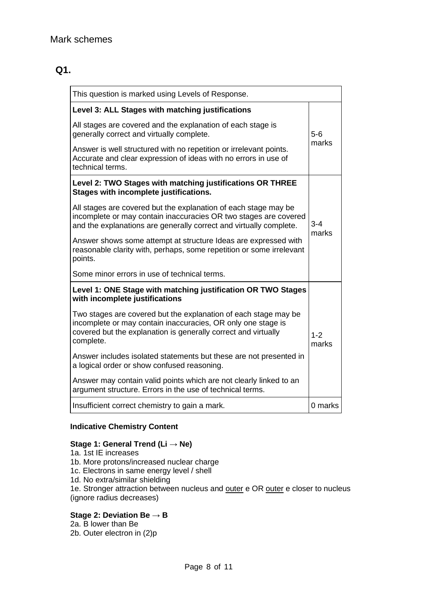# **Q1.**

| This question is marked using Levels of Response.                                                                                                                                                              |                  |  |  |  |
|----------------------------------------------------------------------------------------------------------------------------------------------------------------------------------------------------------------|------------------|--|--|--|
| Level 3: ALL Stages with matching justifications                                                                                                                                                               |                  |  |  |  |
| All stages are covered and the explanation of each stage is<br>generally correct and virtually complete.                                                                                                       | $5-6$            |  |  |  |
| Answer is well structured with no repetition or irrelevant points.<br>Accurate and clear expression of ideas with no errors in use of<br>technical terms.                                                      | marks            |  |  |  |
| Level 2: TWO Stages with matching justifications OR THREE<br>Stages with incomplete justifications.                                                                                                            |                  |  |  |  |
| All stages are covered but the explanation of each stage may be<br>incomplete or may contain inaccuracies OR two stages are covered<br>and the explanations are generally correct and virtually complete.      | $3 - 4$<br>marks |  |  |  |
| Answer shows some attempt at structure Ideas are expressed with<br>reasonable clarity with, perhaps, some repetition or some irrelevant<br>points.                                                             |                  |  |  |  |
| Some minor errors in use of technical terms.                                                                                                                                                                   |                  |  |  |  |
| Level 1: ONE Stage with matching justification OR TWO Stages<br>with incomplete justifications                                                                                                                 |                  |  |  |  |
| Two stages are covered but the explanation of each stage may be<br>incomplete or may contain inaccuracies, OR only one stage is<br>covered but the explanation is generally correct and virtually<br>complete. |                  |  |  |  |
| Answer includes isolated statements but these are not presented in<br>a logical order or show confused reasoning.                                                                                              |                  |  |  |  |
| Answer may contain valid points which are not clearly linked to an<br>argument structure. Errors in the use of technical terms.                                                                                |                  |  |  |  |
| Insufficient correct chemistry to gain a mark.                                                                                                                                                                 | 0 marks          |  |  |  |

### **Indicative Chemistry Content**

## **Stage 1: General Trend (Li → Ne)**

- 1a. 1st IE increases
- 1b. More protons/increased nuclear charge
- 1c. Electrons in same energy level / shell
- 1d. No extra/similar shielding

1e. Stronger attraction between nucleus and outer e OR outer e closer to nucleus (ignore radius decreases)

#### **Stage 2: Deviation Be → B**

- 2a. B lower than Be
- 2b. Outer electron in (2)p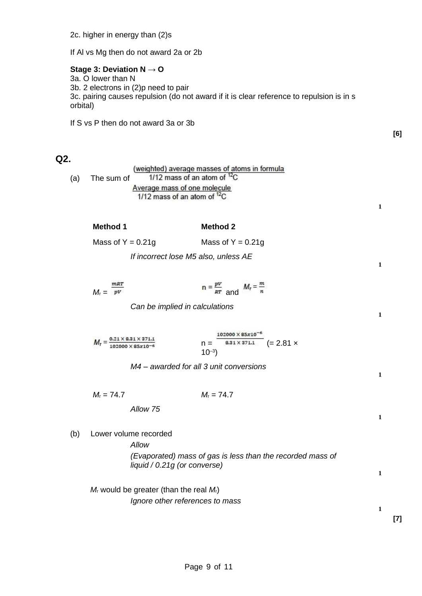If Al vs Mg then do not award 2a or 2b

#### **Stage 3: Deviation N → O**

3a. O lower than N 3b. 2 electrons in (2)p need to pair 3c. pairing causes repulsion (do not award if it is clear reference to repulsion is in s orbital)

If S vs P then do not award 3a or 3b

### **Q2.**

|     |            | (weighted) average masses of atoms in formula |  |
|-----|------------|-----------------------------------------------|--|
| (a) | The sum of | 1/12 mass of an atom of ${}^{12}C$            |  |
|     |            | Average mass of one molecule                  |  |
|     |            | 1/12 mass of an atom of ${}^{12}C$            |  |

**1**

**1**

**1**

**1**

**1**

**1**

**1**

**[6]**

# **Method 1 Method 2**

| Mass of $Y = 0.21g$ | Mass of $Y = 0.21g$ |
|---------------------|---------------------|
|                     |                     |

*If incorrect lose M5 also, unless AE*

|                   | mRT |                                             |  |
|-------------------|-----|---------------------------------------------|--|
| $M_{\rm r} = P^V$ |     | $n = \frac{pV}{RT}$ and $M_r = \frac{m}{n}$ |  |

*Can be implied in calculations*

$$
M_r = \frac{0.21 \times 8.31 \times 371.1}{102000 \times 85 \times 10^{-6}}
$$
  
\n
$$
n = \frac{102000 \times 85 \times 10^{-6}}{8.31 \times 371.1}
$$
 (= 2.81 x

*M4 – awarded for all 3 unit conversions*

*M*<sup>r</sup> = 74.7 *M*<sup>r</sup> = 74.7

*Allow 75*

(b) Lower volume recorded

*Allow (Evaporated) mass of gas is less than the recorded mass of liquid / 0.21g (or converse)*

*M*<sup>r</sup> would be greater (than the real *M*r) *Ignore other references to mass*

**[7]**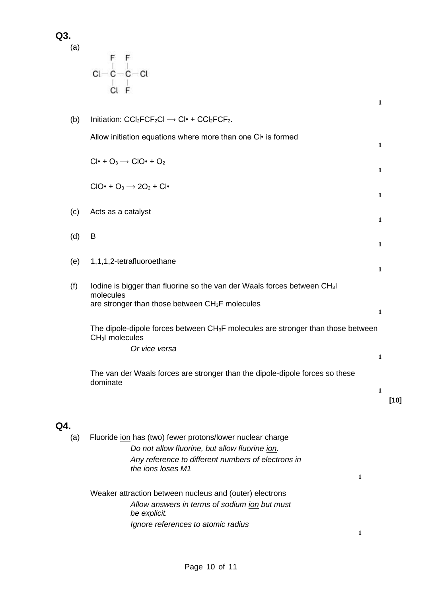**Q3.**

(a)

 $\begin{array}{c} F\quad F\\ C l - C - C - C l\\ \hline C l\quad F \end{array}$ 

| (b) | Initiation: $CCI_2FCF_2CI \rightarrow CI^* + CCI_2FCF_2$ .                                                                  |              |        |
|-----|-----------------------------------------------------------------------------------------------------------------------------|--------------|--------|
|     | Allow initiation equations where more than one CI • is formed                                                               | 1            |        |
|     | $Cl^{\bullet} + O_3 \rightarrow ClO^{\bullet} + O_2$                                                                        | 1            |        |
|     | $ClO\cdot + O_3 \rightarrow 2O_2 + Cl\cdot$                                                                                 | 1            |        |
| (c) | Acts as a catalyst                                                                                                          | 1            |        |
| (d) | B                                                                                                                           |              |        |
| (e) | 1,1,1,2-tetrafluoroethane                                                                                                   | 1            |        |
| (f) | lodine is bigger than fluorine so the van der Waals forces between CH3I<br>molecules                                        | $\mathbf{1}$ |        |
|     | are stronger than those between CH <sub>3</sub> F molecules                                                                 | $\mathbf{1}$ |        |
|     | The dipole-dipole forces between CH <sub>3</sub> F molecules are stronger than those between<br>CH <sub>3</sub> I molecules |              |        |
|     | Or vice versa                                                                                                               | $\mathbf{1}$ |        |
|     | The van der Waals forces are stronger than the dipole-dipole forces so these<br>dominate                                    |              |        |
|     |                                                                                                                             | $\mathbf{1}$ | $[10]$ |
| Q4. |                                                                                                                             |              |        |
| (a) | Fluoride jon has (two) fewer protons/lower nuclear charge                                                                   |              |        |
|     | Do not allow fluorine, but allow fluorine ion.<br>Any reference to different numbers of electrons in                        |              |        |

Weaker attraction between nucleus and (outer) electrons *Allow answers in terms of sodium ion but must be explicit. Ignore references to atomic radius*

*the ions loses M1*

**1**

**1**

**1**